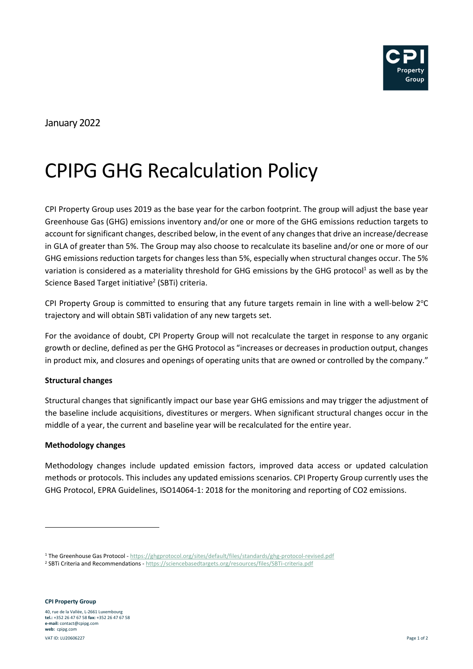

January 2022

# CPIPG GHG Recalculation Policy

CPI Property Group uses 2019 as the base year for the carbon footprint. The group will adjust the base year Greenhouse Gas (GHG) emissions inventory and/or one or more of the GHG emissions reduction targets to account for significant changes, described below, in the event of any changes that drive an increase/decrease in GLA of greater than 5%. The Group may also choose to recalculate its baseline and/or one or more of our GHG emissions reduction targets for changes less than 5%, especially when structural changes occur. The 5% variation is considered as a materiality threshold for GHG emissions by the GHG protocol<sup>1</sup> as well as by the Science Based Target initiative<sup>2</sup> (SBTi) criteria.

CPI Property Group is committed to ensuring that any future targets remain in line with a well-below  $2^{\circ}C$ trajectory and will obtain SBTi validation of any new targets set.

For the avoidance of doubt, CPI Property Group will not recalculate the target in response to any organic growth or decline, defined as per the GHG Protocol as "increases or decreases in production output, changes in product mix, and closures and openings of operating units that are owned or controlled by the company."

## **Structural changes**

Structural changes that significantly impact our base year GHG emissions and may trigger the adjustment of the baseline include acquisitions, divestitures or mergers. When significant structural changes occur in the middle of a year, the current and baseline year will be recalculated for the entire year.

## **Methodology changes**

Methodology changes include updated emission factors, improved data access or updated calculation methods or protocols. This includes any updated emissions scenarios. CPI Property Group currently uses the GHG Protocol, EPRA Guidelines, ISO14064-1: 2018 for the monitoring and reporting of CO2 emissions.

<sup>&</sup>lt;sup>1</sup>The Greenhouse Gas Protocol - https://ghgprotocol.org/sites/default/files/standards/ghg-protocol-revised.pdf

<sup>&</sup>lt;sup>2</sup> SBTi Criteria and Recommendations - https://sciencebasedtargets.org/resources/files/SBTi-criteria.pdf